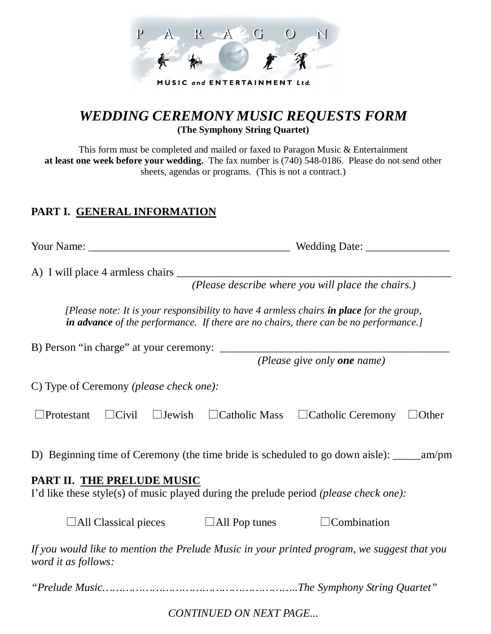

## *WEDDING CEREMONY MUSIC REQUESTS FORM* **(The Symphony String Quartet)**

This form must be completed and mailed or faxed to Paragon Music & Entertainment **at least one week before your wedding.** The fax number is (740) 548-0186. Please do not send other sheets, agendas or programs. (This is not a contract.)

## **PART I. GENERAL INFORMATION**

| Your Name: | <b>Wedding Date:</b> |
|------------|----------------------|
|            |                      |

A) I will place 4 armless chairs \_\_\_\_\_\_\_\_\_\_\_\_\_\_\_\_\_\_\_\_\_\_\_\_\_\_\_\_\_\_\_\_\_\_\_\_\_\_\_\_\_\_\_\_\_\_\_\_\_

*(Please describe where you will place the chairs.)*

*[Please note: It is your responsibility to have 4 armless chairs in place for the group, in advance of the performance. If there are no chairs, there can be no performance.]*

B) Person "in charge" at your ceremony: \_\_\_\_\_\_\_\_\_\_\_\_\_\_\_\_\_\_\_\_\_\_\_\_\_\_\_\_\_\_\_\_\_\_\_\_\_\_\_\_\_

*(Please give only one name)*

C) Type of Ceremony *(please check one):*

|  |  | $\Box$ Protestant $\Box$ Civil $\Box$ Jewish $\Box$ Catholic Mass $\Box$ Catholic Ceremony $\Box$ Other |  |
|--|--|---------------------------------------------------------------------------------------------------------|--|
|  |  |                                                                                                         |  |

D) Beginning time of Ceremony (the time bride is scheduled to go down aisle): \_\_\_\_\_am/pm

## **PART II. THE PRELUDE MUSIC**

I'd like these style(s) of music played during the prelude period *(please check one):*

| $\Box$ All Classical pieces | $\Box$ All Pop tunes | $\Box$ Combination |
|-----------------------------|----------------------|--------------------|
|                             |                      |                    |

*If you would like to mention the Prelude Music in your printed program, we suggest that you word it as follows:*

*"Prelude Music…………………………………………………..The Symphony String Quartet"*

*CONTINUED ON NEXT PAGE...*